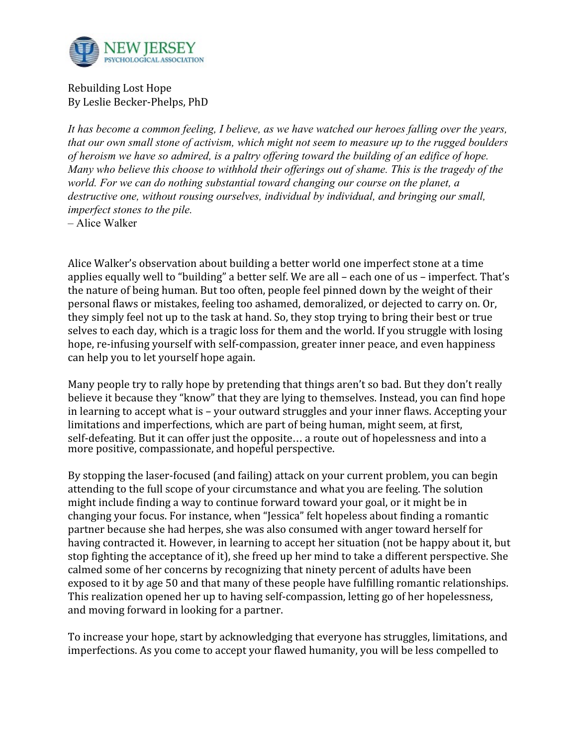

Rebuilding Lost Hope By Leslie Becker-Phelps, PhD

*It has become a common feeling, I believe, as we have watched our heroes falling over the years, that our own small stone of activism, which might not seem to measure up to the rugged boulders of heroism we have so admired, is a paltry offering toward the building of an edifice of hope. Many who believe this choose to withhold their offerings out of shame. This is the tragedy of the world. For we can do nothing substantial toward changing our course on the planet, a destructive one, without rousing ourselves, individual by individual, and bringing our small, imperfect stones to the pile.* 

– Alice Walker

Alice Walker's observation about building a better world one imperfect stone at a time applies equally well to "building" a better self. We are all – each one of us – imperfect. That's the nature of being human. But too often, people feel pinned down by the weight of their personal flaws or mistakes, feeling too ashamed, demoralized, or dejected to carry on. Or, they simply feel not up to the task at hand. So, they stop trying to bring their best or true selves to each day, which is a tragic loss for them and the world. If you struggle with losing hope, re-infusing yourself with self-compassion, greater inner peace, and even happiness can help you to let yourself hope again.

Many people try to rally hope by pretending that things aren't so bad. But they don't really believe it because they "know" that they are lying to themselves. Instead, you can find hope in learning to accept what is – your outward struggles and your inner flaws. Accepting your limitations and imperfections, which are part of being human, might seem, at first, self-defeating. But it can offer just the opposite… a route out of hopelessness and into a more positive, compassionate, and hopeful perspective.

By stopping the laser-focused (and failing) attack on your current problem, you can begin attending to the full scope of your circumstance and what you are feeling. The solution might include finding a way to continue forward toward your goal, or it might be in changing your focus. For instance, when "Jessica" felt hopeless about finding a romantic partner because she had herpes, she was also consumed with anger toward herself for having contracted it. However, in learning to accept her situation (not be happy about it, but stop fighting the acceptance of it), she freed up her mind to take a different perspective. She calmed some of her concerns by recognizing that ninety percent of adults have been exposed to it by age 50 and that many of these people have fulfilling romantic relationships. This realization opened her up to having self-compassion, letting go of her hopelessness, and moving forward in looking for a partner.

To increase your hope, start by acknowledging that everyone has struggles, limitations, and imperfections. As you come to accept your flawed humanity, you will be less compelled to